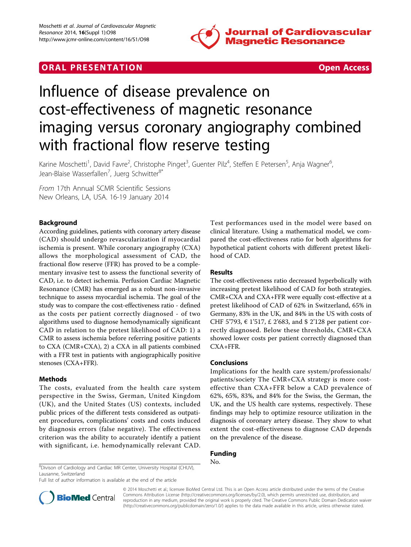

## **ORAL PRESENTATION CONSUMING ACCESS**



# Influence of disease prevalence on cost-effectiveness of magnetic resonance imaging versus coronary angiography combined with fractional flow reserve testing

Karine Moschetti<sup>1</sup>, David Favre<sup>2</sup>, Christophe Pinget<sup>3</sup>, Guenter Pilz<sup>4</sup>, Steffen E Petersen<sup>5</sup>, Anja Wagner<sup>6</sup> , Jean-Blaise Wasserfallen<sup>7</sup>, Juerg Schwitter<sup>8\*</sup>

From 17th Annual SCMR Scientific Sessions New Orleans, LA, USA. 16-19 January 2014

## Background

According guidelines, patients with coronary artery disease (CAD) should undergo revascularization if myocardial ischemia is present. While coronary angiography (CXA) allows the morphological assessment of CAD, the fractional flow reserve (FFR) has proved to be a complementary invasive test to assess the functional severity of CAD, i.e. to detect ischemia. Perfusion Cardiac Magnetic Resonance (CMR) has emerged as a robust non-invasive technique to assess myocardial ischemia. The goal of the study was to compare the cost-effectiveness ratio - defined as the costs per patient correctly diagnosed - of two algorithms used to diagnose hemodynamically significant CAD in relation to the pretest likelihood of CAD: 1) a CMR to assess ischemia before referring positive patients to CXA (CMR+CXA), 2) a CXA in all patients combined with a FFR test in patients with angiographically positive stenoses (CXA+FFR).

## Methods

The costs, evaluated from the health care system perspective in the Swiss, German, United Kingdom (UK), and the United States (US) contexts, included public prices of the different tests considered as outpatient procedures, complications' costs and costs induced by diagnosis errors (false negative). The effectiveness criterion was the ability to accurately identify a patient with significant, i.e. hemodynamically relevant CAD. Test performances used in the model were based on clinical literature. Using a mathematical model, we compared the cost-effectiveness ratio for both algorithms for hypothetical patient cohorts with different pretest likelihood of CAD.

### Results

The cost-effectiveness ratio decreased hyperbolically with increasing pretest likelihood of CAD for both strategies. CMR+CXA and CXA+FFR were equally cost-effective at a pretest likelihood of CAD of 62% in Switzerland, 65% in Germany, 83% in the UK, and 84% in the US with costs of CHF 5'793, € 1'517, £ 2'683, and \$ 2'128 per patient correctly diagnosed. Below these thresholds, CMR+CXA showed lower costs per patient correctly diagnosed than CXA+FFR.

#### Conclusions

Implications for the health care system/professionals/ patients/society The CMR+CXA strategy is more costeffective than CXA+FFR below a CAD prevalence of 62%, 65%, 83%, and 84% for the Swiss, the German, the UK, and the US health care systems, respectively. These findings may help to optimize resource utilization in the diagnosis of coronary artery disease. They show to what extent the cost-effectiveness to diagnose CAD depends on the prevalence of the disease.

### Funding

 $\frac{18}{100}$ Divison of Cardiology and Cardiac MR Center, University Hospital (CHUV), Lausanne, Switzerland

Full list of author information is available at the end of the article



© 2014 Moschetti et al.; licensee BioMed Central Ltd. This is an Open Access article distributed under the terms of the Creative Commons Attribution License [\(http://creativecommons.org/licenses/by/2.0](http://creativecommons.org/licenses/by/2.0)), which permits unrestricted use, distribution, and reproduction in any medium, provided the original work is properly cited. The Creative Commons Public Domain Dedication waiver [\(http://creativecommons.org/publicdomain/zero/1.0/](http://creativecommons.org/publicdomain/zero/1.0/)) applies to the data made available in this article, unless otherwise stated.